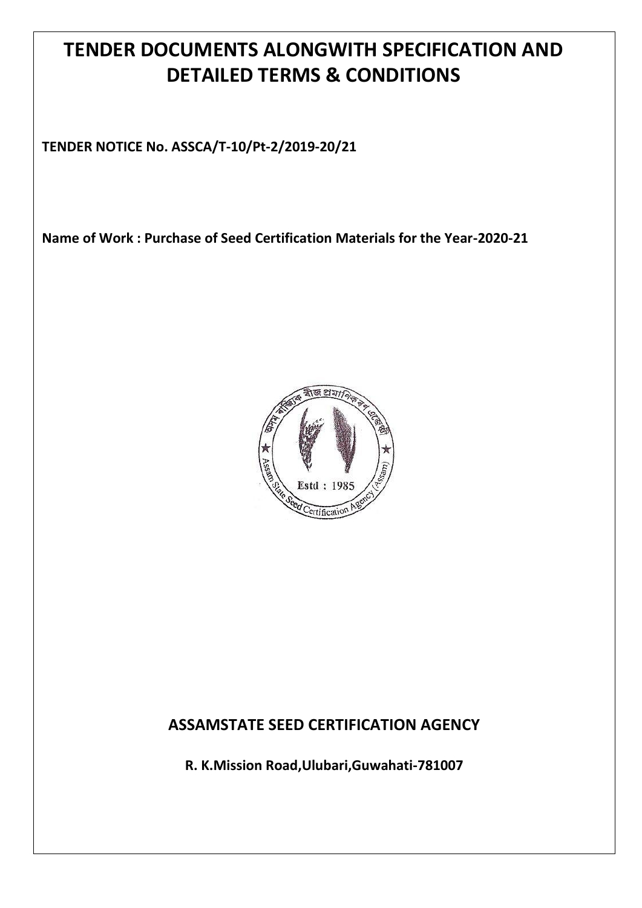# **TENDER DOCUMENTS ALONGWITH SPECIFICATION AND DETAILED TERMS & CONDITIONS**

**TENDER NOTICE No. ASSCA/T-10/Pt-2/2019-20/21**

**Name of Work : Purchase of Seed Certification Materials for the Year-2020-21**



# **ASSAMSTATE SEED CERTIFICATION AGENCY**

**R. K.Mission Road,Ulubari,Guwahati-781007**

**ASSAM STATE SEED CERTIFICATION AGENCY**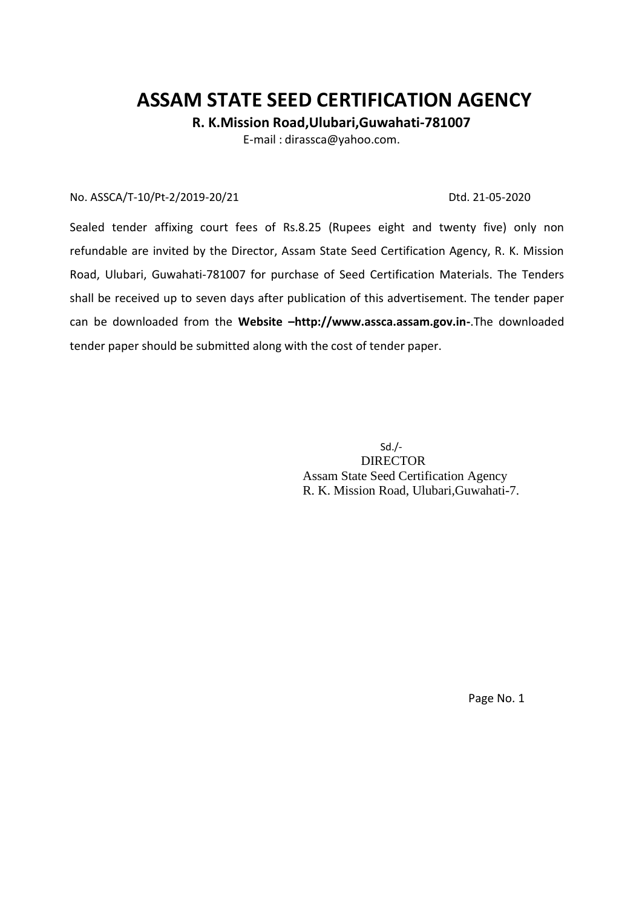# **ASSAM STATE SEED CERTIFICATION AGENCY**

 **R. K.Mission Road,Ulubari,Guwahati-781007**

E-mail : [dirassca@yahoo.com.](mailto:dirassca@yahoo.com)

#### No. ASSCA/T-10/Pt-2/2019-20/21 Dtd. 21-05-2020

Sealed tender affixing court fees of Rs.8.25 (Rupees eight and twenty five) only non refundable are invited by the Director, Assam State Seed Certification Agency, R. K. Mission Road, Ulubari, Guwahati-781007 for purchase of Seed Certification Materials. The Tenders shall be received up to seven days after publication of this advertisement. The tender paper can be downloaded from the **Website –http://www.assca.assam.gov.in-**.The downloaded tender paper should be submitted along with the cost of tender paper.

> Sd./- DIRECTOR Assam State Seed Certification Agency R. K. Mission Road, Ulubari,Guwahati-7.

> > Page No. 1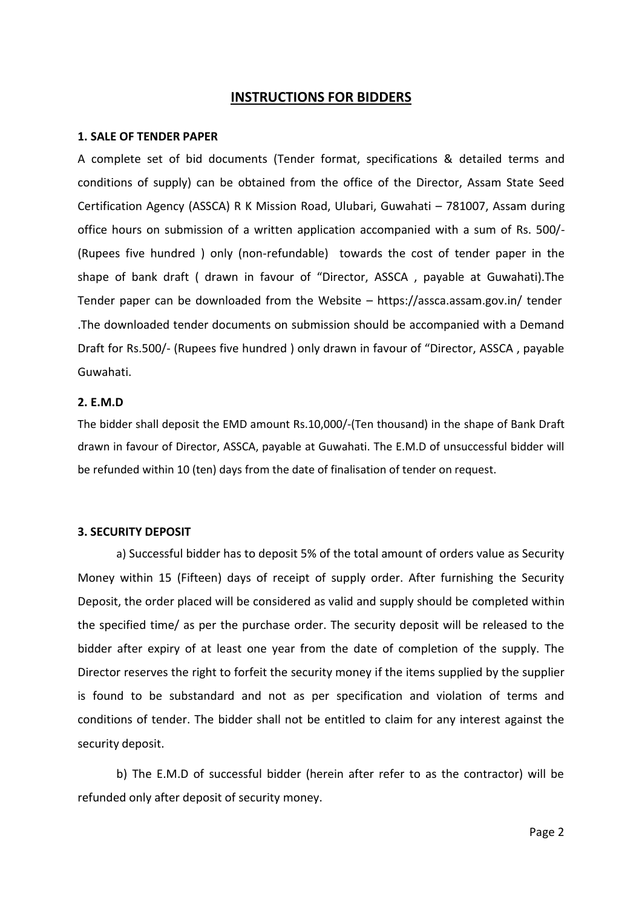#### **INSTRUCTIONS FOR BIDDERS**

#### **1. SALE OF TENDER PAPER**

A complete set of bid documents (Tender format, specifications & detailed terms and conditions of supply) can be obtained from the office of the Director, Assam State Seed Certification Agency (ASSCA) R K Mission Road, Ulubari, Guwahati – 781007, Assam during office hours on submission of a written application accompanied with a sum of Rs. 500/- (Rupees five hundred ) only (non-refundable) towards the cost of tender paper in the shape of bank draft ( drawn in favour of "Director, ASSCA , payable at Guwahati).The Tender paper can be downloaded from the Website – https://assca.assam.gov.in/ tender .The downloaded tender documents on submission should be accompanied with a Demand Draft for Rs.500/- (Rupees five hundred ) only drawn in favour of "Director, ASSCA , payable Guwahati.

#### **2. E.M.D**

The bidder shall deposit the EMD amount Rs.10,000/-(Ten thousand) in the shape of Bank Draft drawn in favour of Director, ASSCA, payable at Guwahati. The E.M.D of unsuccessful bidder will be refunded within 10 (ten) days from the date of finalisation of tender on request.

#### **3. SECURITY DEPOSIT**

a) Successful bidder has to deposit 5% of the total amount of orders value as Security Money within 15 (Fifteen) days of receipt of supply order. After furnishing the Security Deposit, the order placed will be considered as valid and supply should be completed within the specified time/ as per the purchase order. The security deposit will be released to the bidder after expiry of at least one year from the date of completion of the supply. The Director reserves the right to forfeit the security money if the items supplied by the supplier is found to be substandard and not as per specification and violation of terms and conditions of tender. The bidder shall not be entitled to claim for any interest against the security deposit.

b) The E.M.D of successful bidder (herein after refer to as the contractor) will be refunded only after deposit of security money.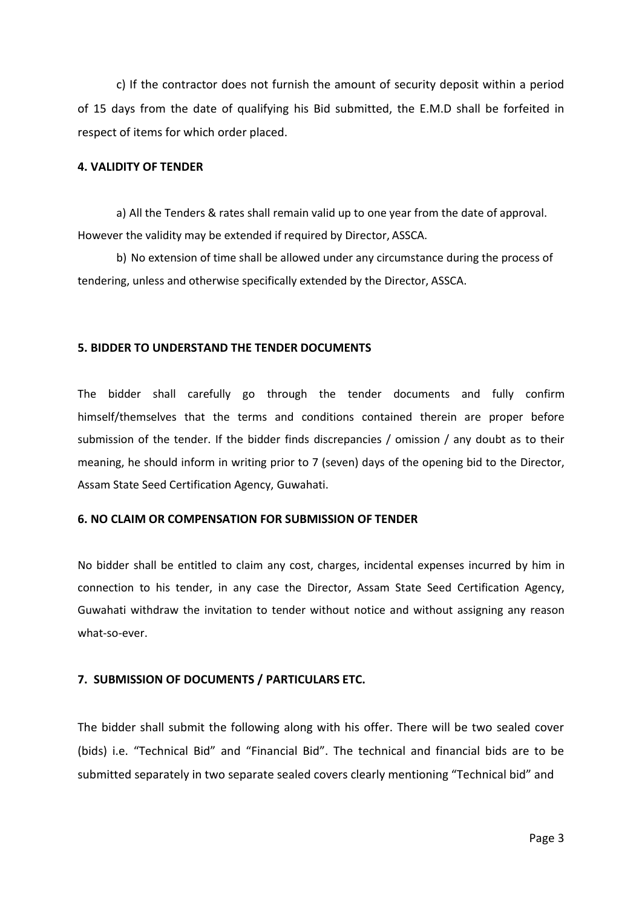c) If the contractor does not furnish the amount of security deposit within a period of 15 days from the date of qualifying his Bid submitted, the E.M.D shall be forfeited in respect of items for which order placed.

#### **4. VALIDITY OF TENDER**

a) All the Tenders & rates shall remain valid up to one year from the date of approval. However the validity may be extended if required by Director, ASSCA.

b) No extension of time shall be allowed under any circumstance during the process of tendering, unless and otherwise specifically extended by the Director, ASSCA.

#### **5. BIDDER TO UNDERSTAND THE TENDER DOCUMENTS**

The bidder shall carefully go through the tender documents and fully confirm himself/themselves that the terms and conditions contained therein are proper before submission of the tender. If the bidder finds discrepancies / omission / any doubt as to their meaning, he should inform in writing prior to 7 (seven) days of the opening bid to the Director, Assam State Seed Certification Agency, Guwahati.

#### **6. NO CLAIM OR COMPENSATION FOR SUBMISSION OF TENDER**

No bidder shall be entitled to claim any cost, charges, incidental expenses incurred by him in connection to his tender, in any case the Director, Assam State Seed Certification Agency, Guwahati withdraw the invitation to tender without notice and without assigning any reason what-so-ever.

#### **7. SUBMISSION OF DOCUMENTS / PARTICULARS ETC.**

The bidder shall submit the following along with his offer. There will be two sealed cover (bids) i.e. "Technical Bid" and "Financial Bid". The technical and financial bids are to be submitted separately in two separate sealed covers clearly mentioning "Technical bid" and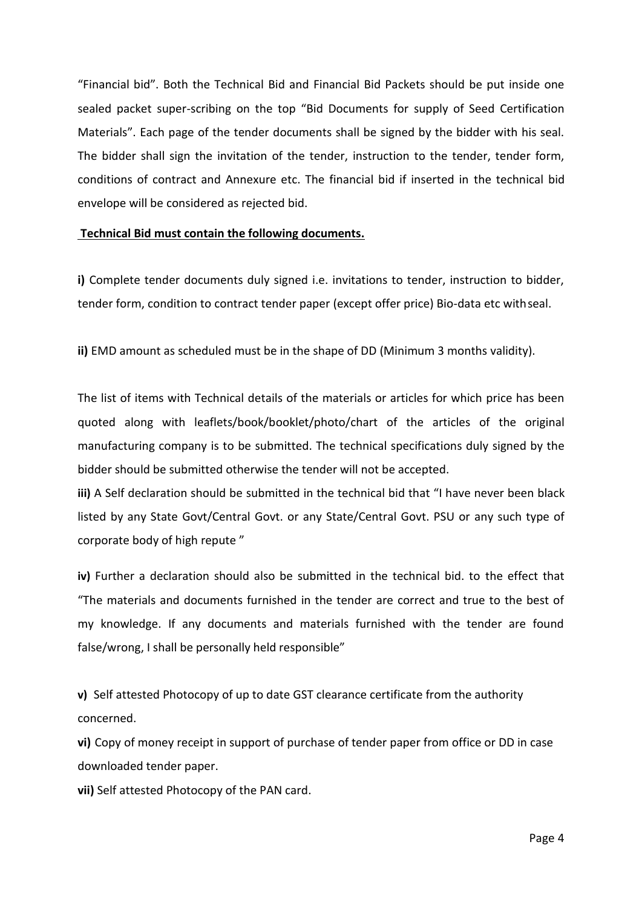"Financial bid". Both the Technical Bid and Financial Bid Packets should be put inside one sealed packet super-scribing on the top "Bid Documents for supply of Seed Certification Materials". Each page of the tender documents shall be signed by the bidder with his seal. The bidder shall sign the invitation of the tender, instruction to the tender, tender form, conditions of contract and Annexure etc. The financial bid if inserted in the technical bid envelope will be considered as rejected bid.

#### **Technical Bid must contain the following documents.**

**i)** Complete tender documents duly signed i.e. invitations to tender, instruction to bidder, tender form, condition to contract tender paper (except offer price) Bio-data etc withseal.

**ii)** EMD amount as scheduled must be in the shape of DD (Minimum 3 months validity).

The list of items with Technical details of the materials or articles for which price has been quoted along with leaflets/book/booklet/photo/chart of the articles of the original manufacturing company is to be submitted. The technical specifications duly signed by the bidder should be submitted otherwise the tender will not be accepted.

**iii)** A Self declaration should be submitted in the technical bid that "I have never been black listed by any State Govt/Central Govt. or any State/Central Govt. PSU or any such type of corporate body of high repute "

**iv)** Further a declaration should also be submitted in the technical bid. to the effect that "The materials and documents furnished in the tender are correct and true to the best of my knowledge. If any documents and materials furnished with the tender are found false/wrong, I shall be personally held responsible"

**v)** Self attested Photocopy of up to date GST clearance certificate from the authority concerned.

**vi)** Copy of money receipt in support of purchase of tender paper from office or DD in case downloaded tender paper.

**vii)** Self attested Photocopy of the PAN card.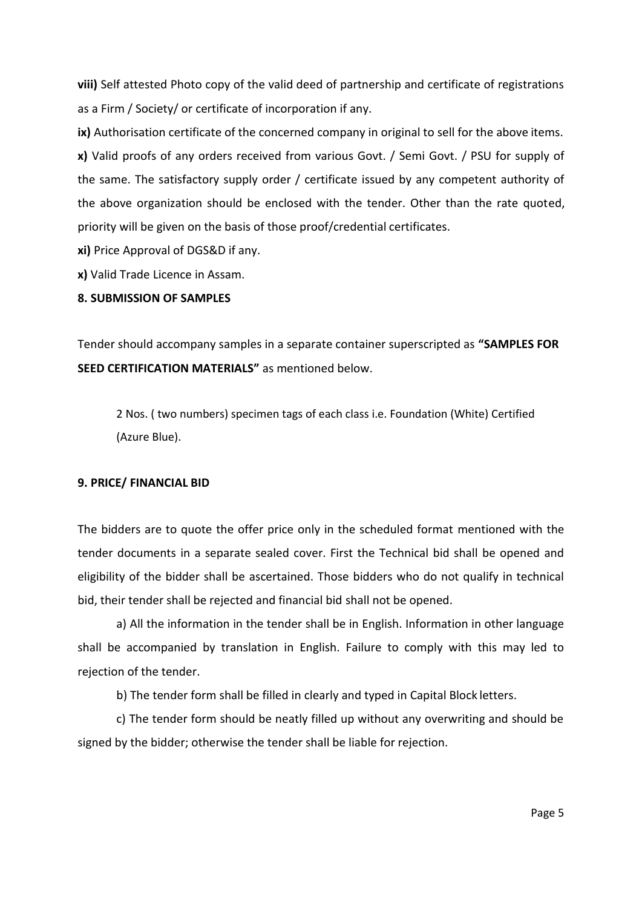**viii)** Self attested Photo copy of the valid deed of partnership and certificate of registrations as a Firm / Society/ or certificate of incorporation if any.

**ix)** Authorisation certificate of the concerned company in original to sell for the above items. **x)** Valid proofs of any orders received from various Govt. / Semi Govt. / PSU for supply of the same. The satisfactory supply order / certificate issued by any competent authority of the above organization should be enclosed with the tender. Other than the rate quoted, priority will be given on the basis of those proof/credential certificates.

**xi)** Price Approval of DGS&D if any.

**x)** Valid Trade Licence in Assam.

#### **8. SUBMISSION OF SAMPLES**

Tender should accompany samples in a separate container superscripted as **"SAMPLES FOR SEED CERTIFICATION MATERIALS"** as mentioned below.

2 Nos. ( two numbers) specimen tags of each class i.e. Foundation (White) Certified (Azure Blue).

#### **9. PRICE/ FINANCIAL BID**

The bidders are to quote the offer price only in the scheduled format mentioned with the tender documents in a separate sealed cover. First the Technical bid shall be opened and eligibility of the bidder shall be ascertained. Those bidders who do not qualify in technical bid, their tender shall be rejected and financial bid shall not be opened.

a) All the information in the tender shall be in English. Information in other language shall be accompanied by translation in English. Failure to comply with this may led to rejection of the tender.

b) The tender form shall be filled in clearly and typed in Capital Block letters.

c) The tender form should be neatly filled up without any overwriting and should be signed by the bidder; otherwise the tender shall be liable for rejection.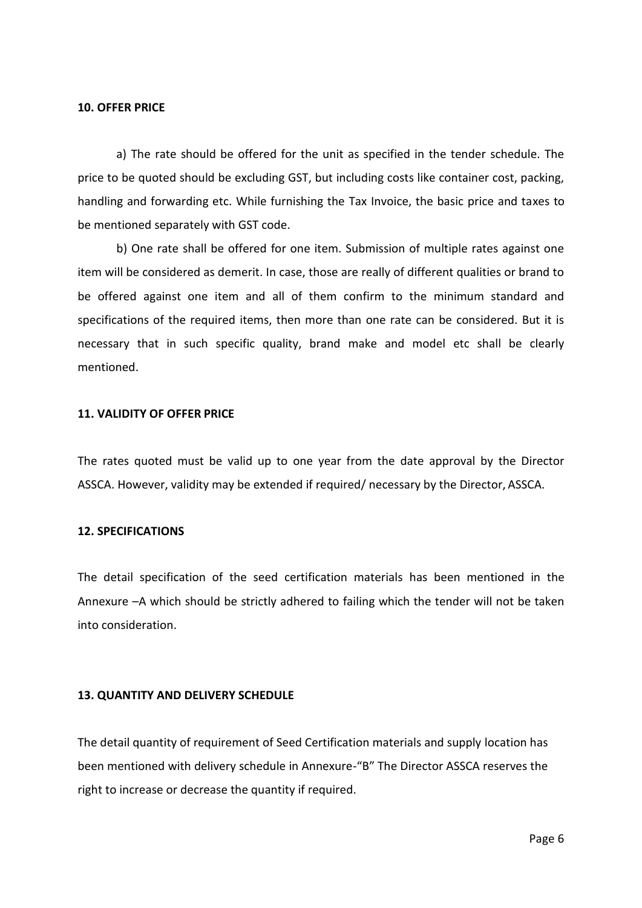#### **10. OFFER PRICE**

a) The rate should be offered for the unit as specified in the tender schedule. The price to be quoted should be excluding GST, but including costs like container cost, packing, handling and forwarding etc. While furnishing the Tax Invoice, the basic price and taxes to be mentioned separately with GST code.

b) One rate shall be offered for one item. Submission of multiple rates against one item will be considered as demerit. In case, those are really of different qualities or brand to be offered against one item and all of them confirm to the minimum standard and specifications of the required items, then more than one rate can be considered. But it is necessary that in such specific quality, brand make and model etc shall be clearly mentioned.

#### **11. VALIDITY OF OFFER PRICE**

The rates quoted must be valid up to one year from the date approval by the Director ASSCA. However, validity may be extended if required/ necessary by the Director, ASSCA.

#### **12. SPECIFICATIONS**

The detail specification of the seed certification materials has been mentioned in the Annexure –A which should be strictly adhered to failing which the tender will not be taken into consideration.

#### **13. QUANTITY AND DELIVERY SCHEDULE**

The detail quantity of requirement of Seed Certification materials and supply location has been mentioned with delivery schedule in Annexure-"B" The Director ASSCA reserves the right to increase or decrease the quantity if required.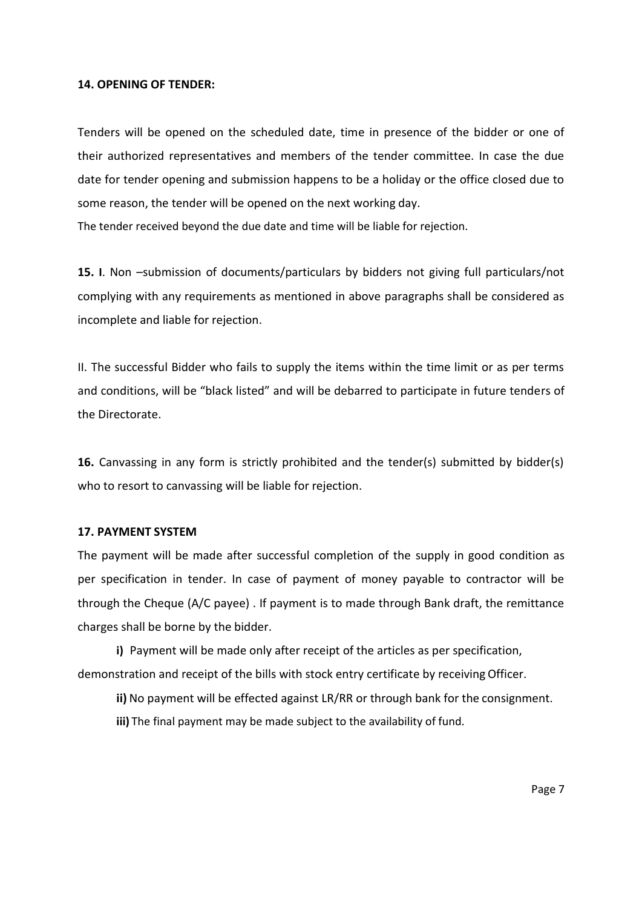#### **14. OPENING OF TENDER:**

Tenders will be opened on the scheduled date, time in presence of the bidder or one of their authorized representatives and members of the tender committee. In case the due date for tender opening and submission happens to be a holiday or the office closed due to some reason, the tender will be opened on the next working day.

The tender received beyond the due date and time will be liable for rejection.

**15. I**. Non –submission of documents/particulars by bidders not giving full particulars/not complying with any requirements as mentioned in above paragraphs shall be considered as incomplete and liable for rejection.

II. The successful Bidder who fails to supply the items within the time limit or as per terms and conditions, will be "black listed" and will be debarred to participate in future tenders of the Directorate.

**16.** Canvassing in any form is strictly prohibited and the tender(s) submitted by bidder(s) who to resort to canvassing will be liable for rejection.

#### **17. PAYMENT SYSTEM**

The payment will be made after successful completion of the supply in good condition as per specification in tender. In case of payment of money payable to contractor will be through the Cheque (A/C payee) . If payment is to made through Bank draft, the remittance charges shall be borne by the bidder.

**i)** Payment will be made only after receipt of the articles as per specification, demonstration and receipt of the bills with stock entry certificate by receiving Officer.

**ii)** No payment will be effected against LR/RR or through bank for the consignment.

**iii)** The final payment may be made subject to the availability of fund.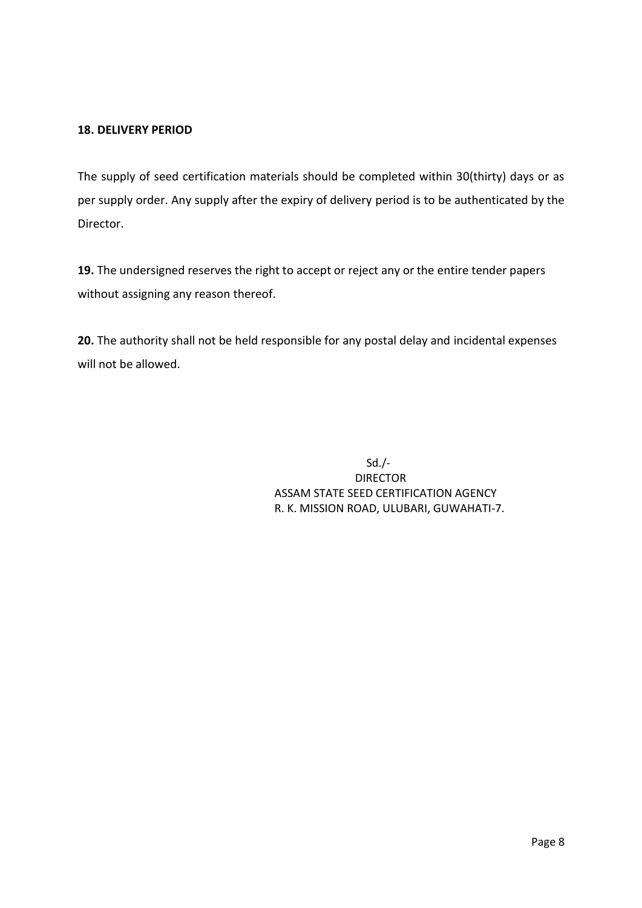### **18. DELIVERY PERIOD**

The supply of seed certification materials should be completed within 30(thirty) days or as per supply order. Any supply after the expiry of delivery period is to be authenticated by the Director.

**19.** The undersigned reserves the right to accept or reject any or the entire tender papers without assigning any reason thereof.

**20.** The authority shall not be held responsible for any postal delay and incidental expenses will not be allowed.

> Sd./- DIRECTOR ASSAM STATE SEED CERTIFICATION AGENCY R. K. MISSION ROAD, ULUBARI, GUWAHATI-7.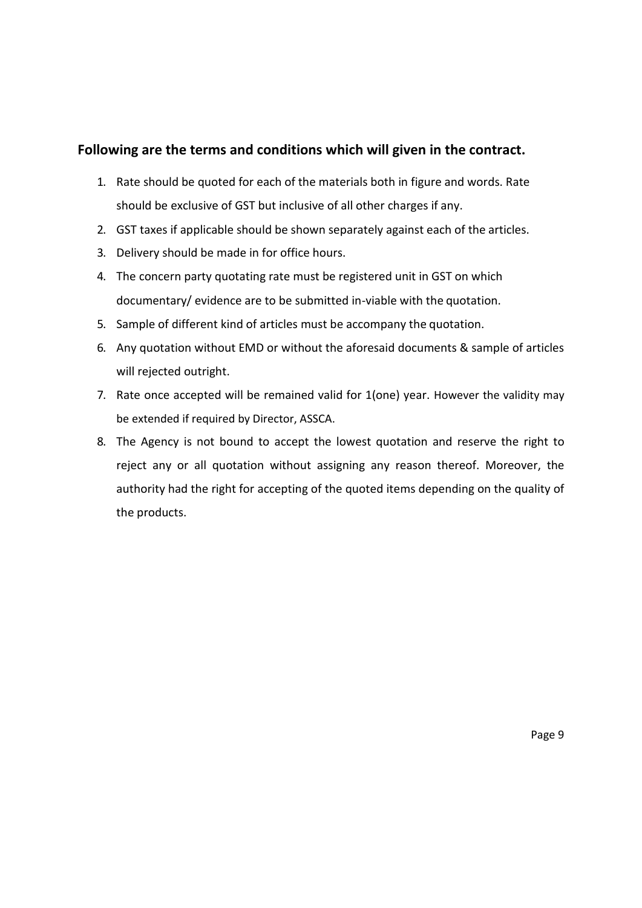## **Following are the terms and conditions which will given in the contract.**

- 1. Rate should be quoted for each of the materials both in figure and words. Rate should be exclusive of GST but inclusive of all other charges if any.
- 2. GST taxes if applicable should be shown separately against each of the articles.
- 3. Delivery should be made in for office hours.
- 4. The concern party quotating rate must be registered unit in GST on which documentary/ evidence are to be submitted in-viable with the quotation.
- 5. Sample of different kind of articles must be accompany the quotation.
- 6. Any quotation without EMD or without the aforesaid documents & sample of articles will rejected outright.
- 7. Rate once accepted will be remained valid for 1(one) year. However the validity may be extended if required by Director, ASSCA.
- 8. The Agency is not bound to accept the lowest quotation and reserve the right to reject any or all quotation without assigning any reason thereof. Moreover, the authority had the right for accepting of the quoted items depending on the quality of the products.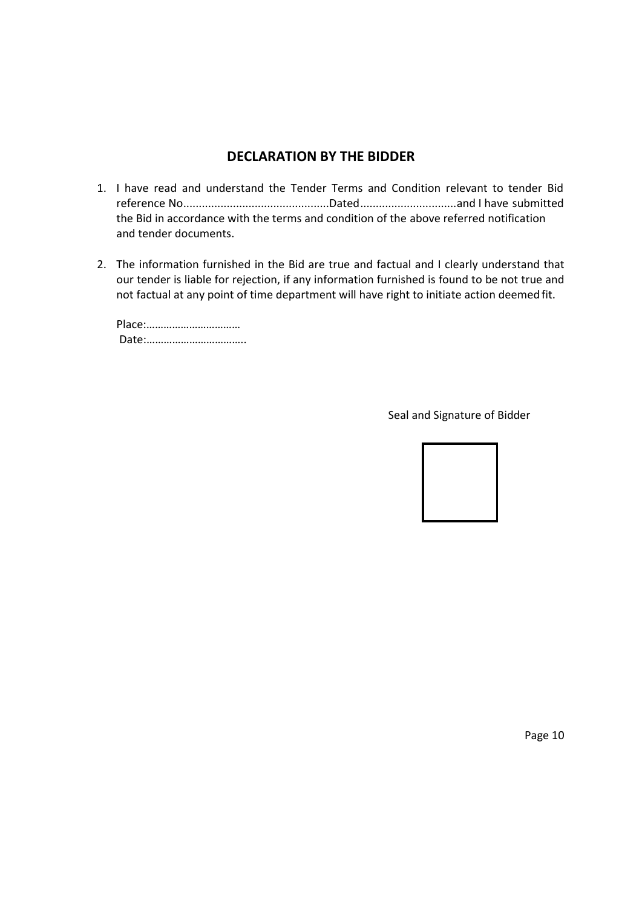# **DECLARATION BY THE BIDDER**

- 1. I have read and understand the Tender Terms and Condition relevant to tender Bid reference No...............................................Dated...............................and I have submitted the Bid in accordance with the terms and condition of the above referred notification and tender documents.
- 2. The information furnished in the Bid are true and factual and I clearly understand that our tender is liable for rejection, if any information furnished is found to be not true and not factual at any point of time department will have right to initiate action deemed fit.

Place:…………………………… Date:……………………………..

Seal and Signature of Bidder



Page 10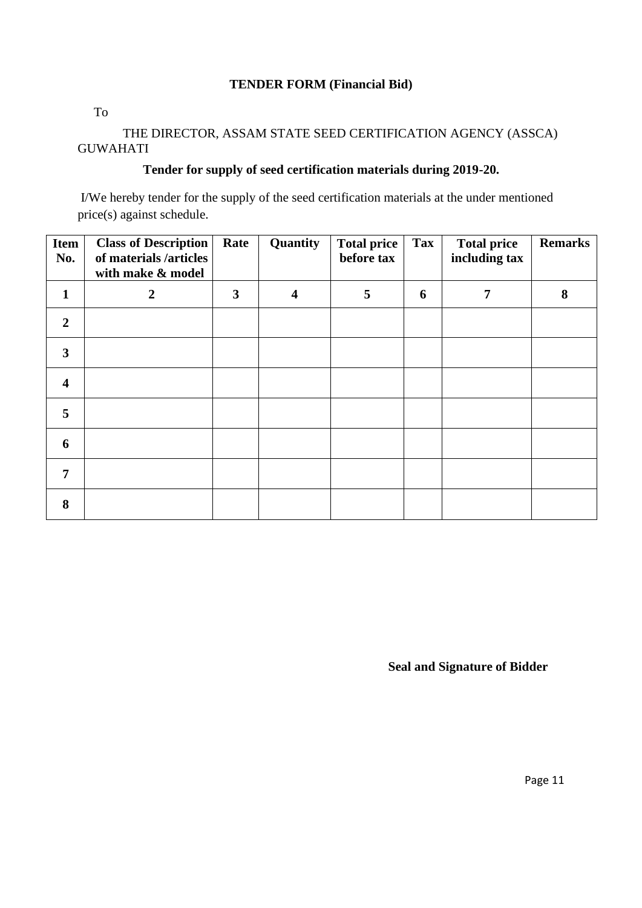## **TENDER FORM (Financial Bid)**

To

## THE DIRECTOR, ASSAM STATE SEED CERTIFICATION AGENCY (ASSCA) GUWAHATI

## **Tender for supply of seed certification materials during 2019-20.**

I/We hereby tender for the supply of the seed certification materials at the under mentioned price(s) against schedule.

| <b>Item</b><br>No.      | <b>Class of Description</b><br>of materials /articles<br>with make & model | Rate | Quantity | <b>Total price</b><br>before tax | Tax | <b>Total price</b><br>including tax | <b>Remarks</b> |
|-------------------------|----------------------------------------------------------------------------|------|----------|----------------------------------|-----|-------------------------------------|----------------|
| $\mathbf{1}$            | $\boldsymbol{2}$                                                           | 3    | 4        | 5                                | 6   | 7                                   | 8              |
| $\overline{2}$          |                                                                            |      |          |                                  |     |                                     |                |
| $\overline{\mathbf{3}}$ |                                                                            |      |          |                                  |     |                                     |                |
| $\overline{\mathbf{4}}$ |                                                                            |      |          |                                  |     |                                     |                |
| 5                       |                                                                            |      |          |                                  |     |                                     |                |
| 6                       |                                                                            |      |          |                                  |     |                                     |                |
| $\overline{7}$          |                                                                            |      |          |                                  |     |                                     |                |
| 8                       |                                                                            |      |          |                                  |     |                                     |                |

**Seal and Signature of Bidder**

Page 11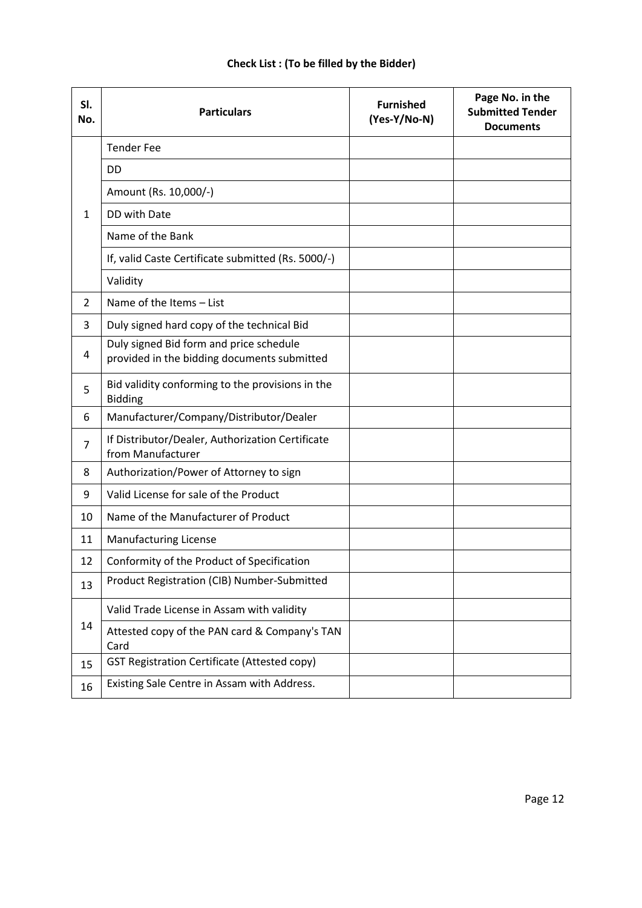## **Check List : (To be filled by the Bidder)**

| SI.<br>No.     | <b>Particulars</b>                                                                     | <b>Furnished</b><br>(Yes-Y/No-N) | Page No. in the<br><b>Submitted Tender</b><br><b>Documents</b> |
|----------------|----------------------------------------------------------------------------------------|----------------------------------|----------------------------------------------------------------|
|                | <b>Tender Fee</b>                                                                      |                                  |                                                                |
| 1              | <b>DD</b>                                                                              |                                  |                                                                |
|                | Amount (Rs. 10,000/-)                                                                  |                                  |                                                                |
|                | DD with Date                                                                           |                                  |                                                                |
|                | Name of the Bank                                                                       |                                  |                                                                |
|                | If, valid Caste Certificate submitted (Rs. 5000/-)                                     |                                  |                                                                |
|                | Validity                                                                               |                                  |                                                                |
| $\overline{2}$ | Name of the Items - List                                                               |                                  |                                                                |
| 3              | Duly signed hard copy of the technical Bid                                             |                                  |                                                                |
| 4              | Duly signed Bid form and price schedule<br>provided in the bidding documents submitted |                                  |                                                                |
| 5              | Bid validity conforming to the provisions in the<br><b>Bidding</b>                     |                                  |                                                                |
| 6              | Manufacturer/Company/Distributor/Dealer                                                |                                  |                                                                |
| 7              | If Distributor/Dealer, Authorization Certificate<br>from Manufacturer                  |                                  |                                                                |
| 8              | Authorization/Power of Attorney to sign                                                |                                  |                                                                |
| 9              | Valid License for sale of the Product                                                  |                                  |                                                                |
| 10             | Name of the Manufacturer of Product                                                    |                                  |                                                                |
| 11             | <b>Manufacturing License</b>                                                           |                                  |                                                                |
| 12             | Conformity of the Product of Specification                                             |                                  |                                                                |
| 13             | Product Registration (CIB) Number-Submitted                                            |                                  |                                                                |
| 14             | Valid Trade License in Assam with validity                                             |                                  |                                                                |
|                | Attested copy of the PAN card & Company's TAN<br>Card                                  |                                  |                                                                |
| 15             | <b>GST Registration Certificate (Attested copy)</b>                                    |                                  |                                                                |
| 16             | Existing Sale Centre in Assam with Address.                                            |                                  |                                                                |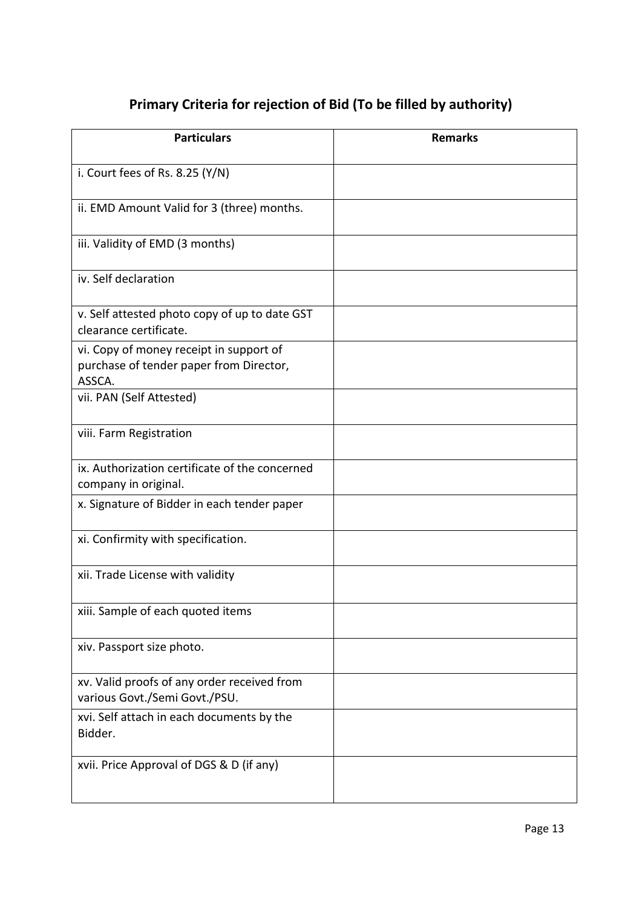# **Primary Criteria for rejection of Bid (To be filled by authority)**

| <b>Particulars</b>                                                                           | <b>Remarks</b> |
|----------------------------------------------------------------------------------------------|----------------|
| i. Court fees of Rs. 8.25 $(Y/N)$                                                            |                |
| ii. EMD Amount Valid for 3 (three) months.                                                   |                |
| iii. Validity of EMD (3 months)                                                              |                |
| iv. Self declaration                                                                         |                |
| v. Self attested photo copy of up to date GST<br>clearance certificate.                      |                |
| vi. Copy of money receipt in support of<br>purchase of tender paper from Director,<br>ASSCA. |                |
| vii. PAN (Self Attested)                                                                     |                |
| viii. Farm Registration                                                                      |                |
| ix. Authorization certificate of the concerned<br>company in original.                       |                |
| x. Signature of Bidder in each tender paper                                                  |                |
| xi. Confirmity with specification.                                                           |                |
| xii. Trade License with validity                                                             |                |
| xiii. Sample of each quoted items                                                            |                |
| xiv. Passport size photo.                                                                    |                |
| xv. Valid proofs of any order received from<br>various Govt./Semi Govt./PSU.                 |                |
| xvi. Self attach in each documents by the<br>Bidder.                                         |                |
| xvii. Price Approval of DGS & D (if any)                                                     |                |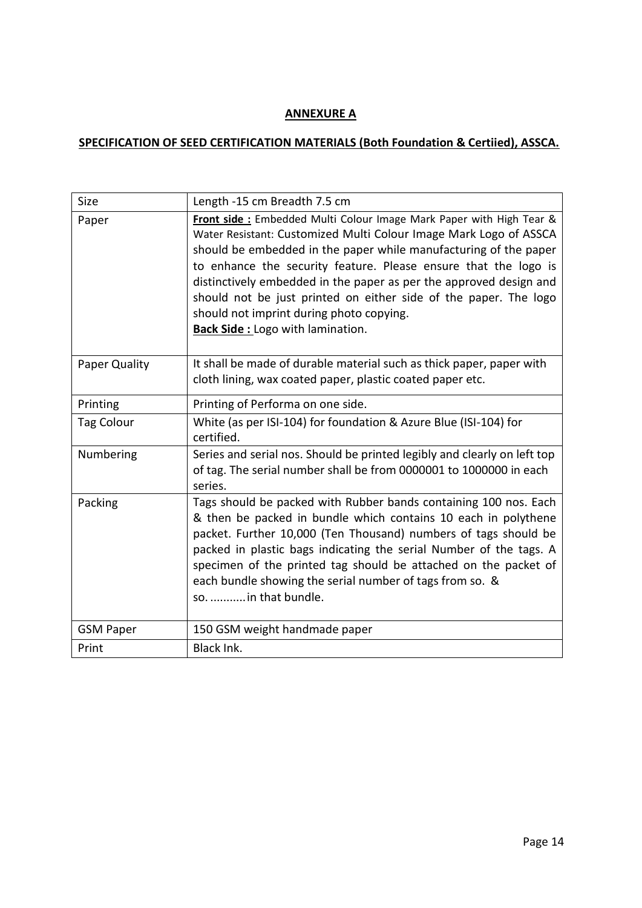# **ANNEXURE A**

# **SPECIFICATION OF SEED CERTIFICATION MATERIALS (Both Foundation & Certiied), ASSCA.**

| Size              | Length -15 cm Breadth 7.5 cm                                                                                                                                                                                                                                                                                                                                                                                                                                                                                      |
|-------------------|-------------------------------------------------------------------------------------------------------------------------------------------------------------------------------------------------------------------------------------------------------------------------------------------------------------------------------------------------------------------------------------------------------------------------------------------------------------------------------------------------------------------|
| Paper             | Front side : Embedded Multi Colour Image Mark Paper with High Tear &<br>Water Resistant: Customized Multi Colour Image Mark Logo of ASSCA<br>should be embedded in the paper while manufacturing of the paper<br>to enhance the security feature. Please ensure that the logo is<br>distinctively embedded in the paper as per the approved design and<br>should not be just printed on either side of the paper. The logo<br>should not imprint during photo copying.<br><b>Back Side:</b> Logo with lamination. |
| Paper Quality     | It shall be made of durable material such as thick paper, paper with<br>cloth lining, wax coated paper, plastic coated paper etc.                                                                                                                                                                                                                                                                                                                                                                                 |
| Printing          | Printing of Performa on one side.                                                                                                                                                                                                                                                                                                                                                                                                                                                                                 |
| <b>Tag Colour</b> | White (as per ISI-104) for foundation & Azure Blue (ISI-104) for<br>certified.                                                                                                                                                                                                                                                                                                                                                                                                                                    |
| Numbering         | Series and serial nos. Should be printed legibly and clearly on left top<br>of tag. The serial number shall be from 0000001 to 1000000 in each<br>series.                                                                                                                                                                                                                                                                                                                                                         |
| Packing           | Tags should be packed with Rubber bands containing 100 nos. Each<br>& then be packed in bundle which contains 10 each in polythene<br>packet. Further 10,000 (Ten Thousand) numbers of tags should be<br>packed in plastic bags indicating the serial Number of the tags. A<br>specimen of the printed tag should be attached on the packet of<br>each bundle showing the serial number of tags from so. &<br>so.  in that bundle.                                                                                |
| <b>GSM Paper</b>  | 150 GSM weight handmade paper                                                                                                                                                                                                                                                                                                                                                                                                                                                                                     |
| Print             | Black Ink.                                                                                                                                                                                                                                                                                                                                                                                                                                                                                                        |